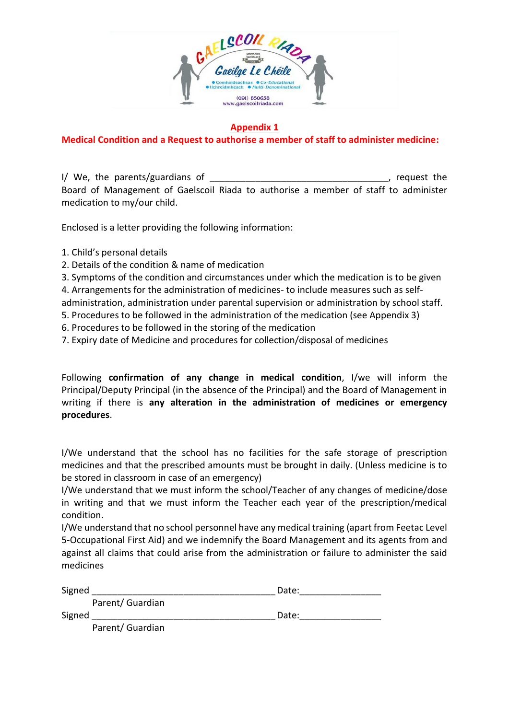

### **Appendix 1**

### **Medical Condition and a Request to authorise a member of staff to administer medicine:**

I/ We, the parents/guardians of \_\_\_\_\_\_\_\_\_\_\_\_\_\_\_\_\_\_\_\_\_\_\_\_\_\_\_\_\_\_\_\_\_\_\_, request the Board of Management of Gaelscoil Riada to authorise a member of staff to administer medication to my/our child.

Enclosed is a letter providing the following information:

- 1. Child's personal details
- 2. Details of the condition & name of medication
- 3. Symptoms of the condition and circumstances under which the medication is to be given

4. Arrangements for the administration of medicines- to include measures such as self-

administration, administration under parental supervision or administration by school staff.

- 5. Procedures to be followed in the administration of the medication (see Appendix 3)
- 6. Procedures to be followed in the storing of the medication
- 7. Expiry date of Medicine and procedures for collection/disposal of medicines

Following **confirmation of any change in medical condition**, I/we will inform the Principal/Deputy Principal (in the absence of the Principal) and the Board of Management in writing if there is **any alteration in the administration of medicines or emergency procedures**.

I/We understand that the school has no facilities for the safe storage of prescription medicines and that the prescribed amounts must be brought in daily. (Unless medicine is to be stored in classroom in case of an emergency)

I/We understand that we must inform the school/Teacher of any changes of medicine/dose in writing and that we must inform the Teacher each year of the prescription/medical condition.

I/We understand that no school personnel have any medical training (apart from Feetac Level 5-Occupational First Aid) and we indemnify the Board Management and its agents from and against all claims that could arise from the administration or failure to administer the said medicines

| Signed           | Date: |
|------------------|-------|
| Parent/ Guardian |       |
| Signed           | Date: |
| Parent/ Guardian |       |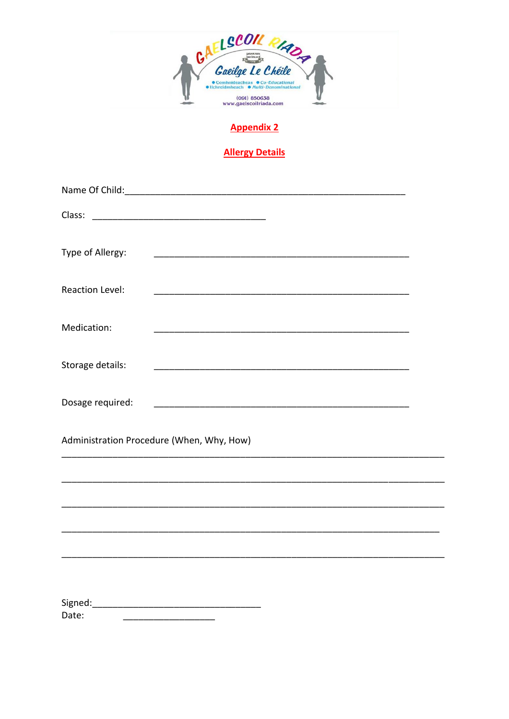

# **Appendix 2**

# **Allergy Details**

| Type of Allergy:                          |  |
|-------------------------------------------|--|
| <b>Reaction Level:</b>                    |  |
| Medication:                               |  |
| Storage details:                          |  |
| Dosage required:                          |  |
| Administration Procedure (When, Why, How) |  |
|                                           |  |
|                                           |  |
|                                           |  |
|                                           |  |
|                                           |  |
|                                           |  |
| Date:                                     |  |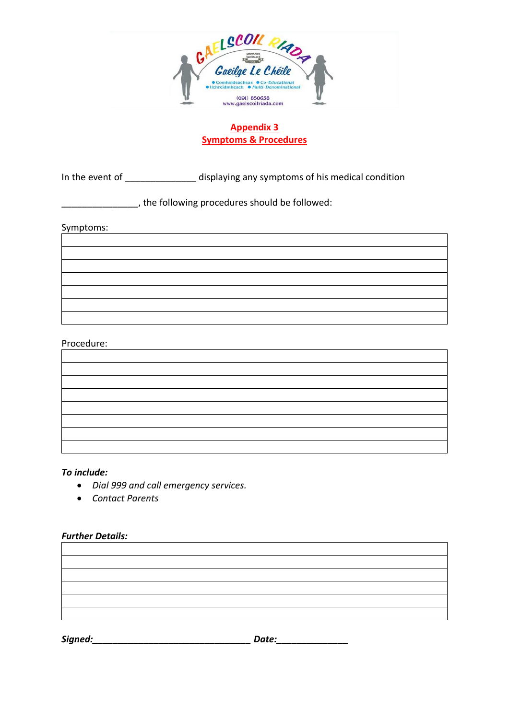

### **Appendix 3 Symptoms & Procedures**

In the event of \_\_\_\_\_\_\_\_\_\_\_\_\_\_ displaying any symptoms of his medical condition

\_\_\_\_\_\_\_\_\_\_\_\_\_\_\_, the following procedures should be followed:

Symptoms:

| the contract of the contract of the contract of the contract of the contract of                                                                                                                                                      |
|--------------------------------------------------------------------------------------------------------------------------------------------------------------------------------------------------------------------------------------|
|                                                                                                                                                                                                                                      |
|                                                                                                                                                                                                                                      |
| <u> 1989 - Johann Barn, mars an t-Amerikaansk politiker (</u>                                                                                                                                                                        |
| <u> 1980 - Jan Samuel Barbara, margaret e populazion del control del control del control del control de la control de la control de la control de la control de la control de la control de la control de la control de la contr</u> |
|                                                                                                                                                                                                                                      |
|                                                                                                                                                                                                                                      |

#### Procedure:

| <u> 1989 - Johann Barn, mars eta bainar eta baina eta baina eta baina eta baina eta baina eta baina eta baina e</u> |  |  |
|---------------------------------------------------------------------------------------------------------------------|--|--|
|                                                                                                                     |  |  |
|                                                                                                                     |  |  |
|                                                                                                                     |  |  |
|                                                                                                                     |  |  |

<u> 1989 - Johann Stoff, amerikansk politiker (d. 1989)</u>

#### *To include:*

- *Dial 999 and call emergency services.*
- *Contact Parents*

#### *Further Details:*

*Signed:\_\_\_\_\_\_\_\_\_\_\_\_\_\_\_\_\_\_\_\_\_\_\_\_\_\_\_\_\_\_\_ Date:\_\_\_\_\_\_\_\_\_\_\_\_\_\_*